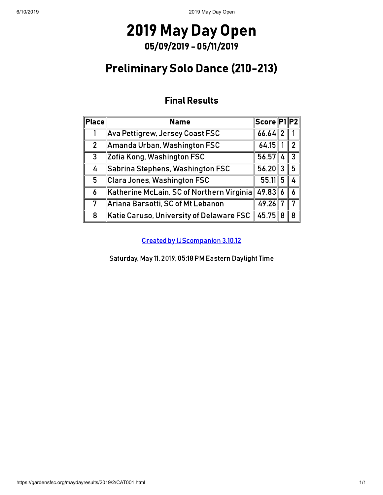### Preliminary Solo Dance (210-213)

### Final Results

| Place          | <b>Name</b>                                         | Score  P1  P2 |              |
|----------------|-----------------------------------------------------|---------------|--------------|
|                | Ava Pettigrew, Jersey Coast FSC                     | $66.64$ 2     |              |
| $\overline{2}$ | Amanda Urban, Washington FSC                        | 64.15         | 2            |
| $\mathbf{3}$   | Zofia Kong, Washington FSC                          | 56.57         | $\mathbf{R}$ |
| 4              | Sabrina Stephens, Washington FSC                    | $56.20$ 3     | 5            |
| 5              | Clara Jones, Washington FSC                         | $55.11$ 5     |              |
| 6              | $\,$ Katherine McLain, SC of Northern Virginia $\ $ | $49.83$ 6     | 6            |
| 7              | Ariana Barsotti, SC of Mt Lebanon                   | 49.26         |              |
| 8              | Katie Caruso, University of Delaware FSC            | 45.75 8       | 8            |

[Created by IJScompanion](http://www.usfigureskating.org/) 3.10.12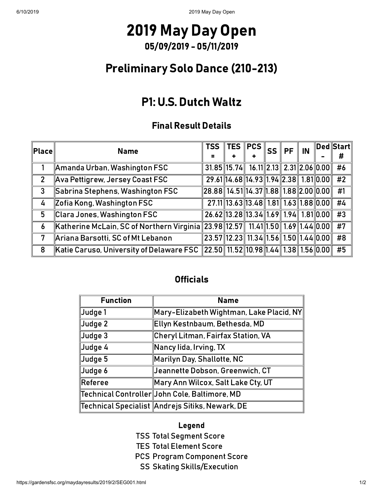### Preliminary Solo Dance (210-213)

### P1: U.S. Dutch Waltz

#### Final Result Details

| $ \mathsf{Place} $ | <b>TSS</b><br><b>Name</b>                                                                                                             |                                                   | $\ $ TES $\ $ PCS $\ $ |                                       | <b>SS</b> | PF | IN | $\ $ Ded $\ $ Start $\ $ |
|--------------------|---------------------------------------------------------------------------------------------------------------------------------------|---------------------------------------------------|------------------------|---------------------------------------|-----------|----|----|--------------------------|
|                    |                                                                                                                                       | =                                                 |                        |                                       |           |    |    | #                        |
|                    | $\parallel$ Amanda Urban, Washington FSC                                                                                              | $31.85$ 15.74 16.11 2.13 2.31 2.06 0.00           |                        |                                       |           |    |    | #6                       |
| $\overline{2}$     | $\parallel$ Ava Pettigrew, Jersey Coast FSC                                                                                           |                                                   |                        | 29.61 14.68 14.93 1.94 2.38 1.81 0.00 |           |    |    | #2                       |
| $\mathbf{3}$       | Sabrina Stephens, Washington FSC                                                                                                      | $\ 28.88\ 14.51\ 14.37\ 1.88\ 1.88\ 2.00\ 0.00\ $ |                        |                                       |           |    |    | #1                       |
| 4                  | Zofia Kong, Washington FSC                                                                                                            |                                                   |                        | 27.11 13.63 13.48 1.81 1.63 1.88 0.00 |           |    |    | #4                       |
| 5                  | $\ $ Clara Jones, Washington FSC                                                                                                      | 26.62 13.28 13.34 1.69 1.94 1.81 0.00             |                        |                                       |           |    |    | #3                       |
| 6                  | Katherine McLain, SC of Northern Virginia 23.98 12.57 11.41 1.50 1.69 1.44 0.00                                                       |                                                   |                        |                                       |           |    |    | #7                       |
| 7                  | Ariana Barsotti, SC of Mt Lebanon                                                                                                     | $\sqrt{23.57}$ 12.23 11.34 1.56 1.50 1.44 0.00    |                        |                                       |           |    |    | #8                       |
| 8                  | Katie Caruso, University of Delaware FSC $\lVert 22.50 \rVert$ 11.52 $\lVert 10.98 \rVert 1.44$ 1.38 $\lVert 1.56 \rVert 0.00 \rVert$ |                                                   |                        |                                       |           |    |    | #5                       |

#### **Officials**

| <b>Function</b>     | <b>Name</b>                                     |
|---------------------|-------------------------------------------------|
| Judge 1             | Mary-Elizabeth Wightman, Lake Placid, NY        |
| $\vert$ Judge 2     | Ellyn Kestnbaum, Bethesda, MD                   |
| $\vert$ Judge 3     | <b>Cheryl Litman, Fairfax Station, VA</b>       |
| Judge 4             | Nancy lida, Irving, TX                          |
| $\vert$ Judge 5     | Marilyn Day, Shallotte, NC                      |
| $\mathsf{J}$ udge 6 | Jeannette Dobson, Greenwich, CT                 |
| $\ $ Referee        | Mary Ann Wilcox, Salt Lake Cty, UT              |
|                     | Technical Controller  John Cole, Baltimore, MD  |
|                     | Technical Specialist Andrejs Sitiks, Newark, DE |

#### Legend

- TSS Total Segment Score
- TES Total Element Score
- PCS Program Component Score
	- SS Skating Skills/Execution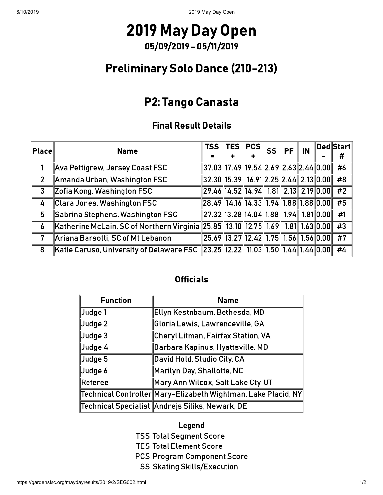### Preliminary Solo Dance (210-213)

### P2: Tango Canasta

### Final Result Details

| $ \mathsf{Place} $ | <b>TSS</b><br><b>Name</b>                                                          |                                         |  | <b>SS</b> | $PF \parallel IN$ |  | <b>Ded Start</b> |
|--------------------|------------------------------------------------------------------------------------|-----------------------------------------|--|-----------|-------------------|--|------------------|
|                    |                                                                                    |                                         |  |           |                   |  | #                |
|                    | Ava Pettigrew, Jersey Coast FSC                                                    | $37.03$ 17.49 19.54 2.69 2.63 2.44 0.00 |  |           |                   |  | #6               |
| $\overline{2}$     | Amanda Urban, Washington FSC                                                       | $32.30$ 15.39 16.91 2.25 2.44 2.13 0.00 |  |           |                   |  | #8               |
| $\mathbf{3}$       | Zofia Kong, Washington FSC                                                         | $29.46$ 14.52 14.94 1.81 2.13 2.19 0.00 |  |           |                   |  | #2               |
| 4                  | Clara Jones, Washington FSC                                                        | $28.49$ 14.16 14.33 1.94 1.88 1.88 0.00 |  |           |                   |  | #5               |
| 5                  | Sabrina Stephens, Washington FSC                                                   | 27.32 13.28 14.04 1.88 1.94 1.81 0.00   |  |           |                   |  | #1               |
| $\boldsymbol{6}$   | Katherine McLain, SC of Northern Virginia 25.85 13.10 12.75 1.69 1.81 1.63 0.00 #3 |                                         |  |           |                   |  |                  |
| 7                  | Ariana Barsotti, SC of Mt Lebanon                                                  | 25.69 13.27 12.42 1.75 1.56 1.56 0.00   |  |           |                   |  | #7               |
| 8                  | Katie Caruso, University of Delaware FSC 23.25 12.22 11.03 1.50 1.44 1.44 0.00 #4  |                                         |  |           |                   |  |                  |

#### **Officials**

| <b>Function</b>     | <b>Name</b>                                                                  |
|---------------------|------------------------------------------------------------------------------|
| ∥Judge 1            | Ellyn Kestnbaum, Bethesda, MD                                                |
| ∥Judge 2            | Gloria Lewis, Lawrenceville, GA                                              |
| ∥Judge 3            | Cheryl Litman, Fairfax Station, VA                                           |
| ∥Judge 4            | Barbara Kapinus, Hyattsville, MD                                             |
| ∥Judge 5            | David Hold, Studio City, CA                                                  |
| $\mathsf{J}$ udge 6 | $M$ arilyn Day, Shallotte, NC                                                |
| $\ $ Referee        | Mary Ann Wilcox, Salt Lake Cty, UT                                           |
|                     | $\ $ Technical Controller $\ $ Mary-Elizabeth Wightman, Lake Placid, NY $\ $ |
|                     | Technical Specialist Andrejs Sitiks, Newark, DE                              |

#### Legend

- TSS Total Segment Score
- TES Total Element Score
- PCS Program Component Score
	- SS Skating Skills/Execution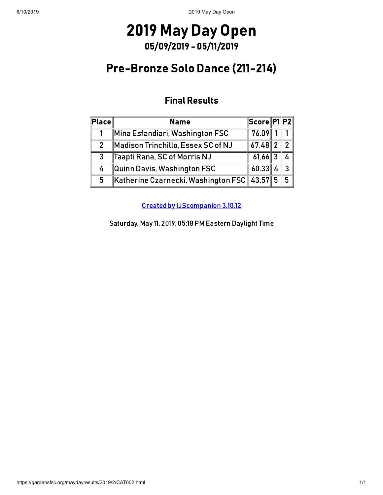### Pre-Bronze Solo Dance (211-214)

### Final Results

| $ \mathsf{Place} $ | <b>Name</b>                                 | Score  P1  P2 |                |
|--------------------|---------------------------------------------|---------------|----------------|
|                    | Mina Esfandiari, Washington FSC             | 76.09         |                |
| 2                  | $M$ adison Trinchillo, Essex SC of NJ       | $67.48$  2    | 2 <sup>1</sup> |
| 3                  | Taapti Rana, SC of Morris NJ                | $61.66$ 3     |                |
| 4                  | Quinn Davis, Washington FSC                 | 60.33         | $\mathbf{P}$   |
| 5                  | Katherine Czarnecki, Washington FSC 43.57 5 |               | 5 <sup>1</sup> |

[Created by IJScompanion](http://www.usfigureskating.org/) 3.10.12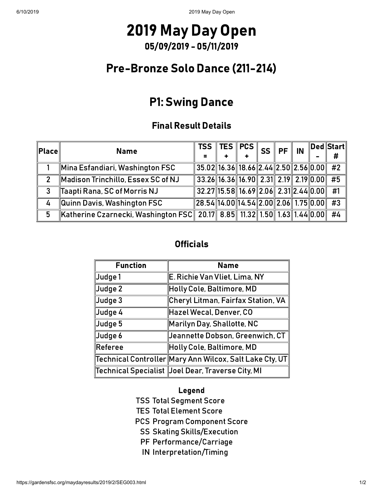### Pre-Bronze Solo Dance (211-214)

### P1: Swing Dance

#### Final Result Details

| $\ $ Place $\ $ | <b>Name</b>                                                              |                                         | $_{\shortparallel}$ TSS $\Vert$ TES $\Vert$ PCS $\Vert$ <sub>SS</sub> $\Vert$ PF $\Vert$ IN $^{''}$ |  |   | ∥Ded∥Start∥     |
|-----------------|--------------------------------------------------------------------------|-----------------------------------------|-----------------------------------------------------------------------------------------------------|--|---|-----------------|
|                 |                                                                          |                                         | ÷                                                                                                   |  | - | #               |
|                 | $\ $ Mina Esfandiari, Washington FSC                                     | $35.02$ 16.36 18.66 2.44 2.50 2.56 0.00 |                                                                                                     |  |   | #2              |
| $\mathcal{P}$   | Madison Trinchillo, Essex SC of NJ                                       | $33.26$ 16.36 16.90 2.31 2.19 2.19 0.00 |                                                                                                     |  |   | #5              |
| 3               | Taapti Rana, SC of Morris NJ                                             | $32.27$ 15.58 16.69 2.06 2.31 2.44 0.00 |                                                                                                     |  |   | #1              |
| 4               | $\ $ Quinn Davis, Washington FSC                                         | $28.54$ 14.00 14.54 2.00 2.06 1.75 0.00 |                                                                                                     |  |   | $\overline{43}$ |
| 5               | Katherine Czarnecki, Washington FSC 20.17 8.85 11.32 1.50 1.63 1.44 0.00 |                                         |                                                                                                     |  |   | #4              |

#### **Officials**

| <b>Function</b> | <b>Name</b>                                                            |
|-----------------|------------------------------------------------------------------------|
| Judge 1         | E. Richie Van Vliet, Lima, NY                                          |
| $\vert$ Judge 2 | Holly Cole, Baltimore, MD                                              |
| ∥Judge 3        | Cheryl Litman, Fairfax Station, VA                                     |
| Judge 4         | Hazel Wecal, Denver, CO                                                |
| ∥Judge 5        | Marilyn Day, Shallotte, NC                                             |
| Judge 6         | Jeannette Dobson, Greenwich, CT                                        |
| $\ $ Referee    | Holly Cole, Baltimore, MD                                              |
|                 | $\ $ Technical Controller $\ $ Mary Ann Wilcox, Salt Lake Cty, UT $\ $ |
|                 | Technical Specialist  Joel Dear, Traverse City, MI                     |

#### Legend

TSS Total Segment Score

TES Total Element Score

PCS Program Component Score

SS Skating Skills/Execution

- PF Performance/Carriage
- IN Interpretation/Timing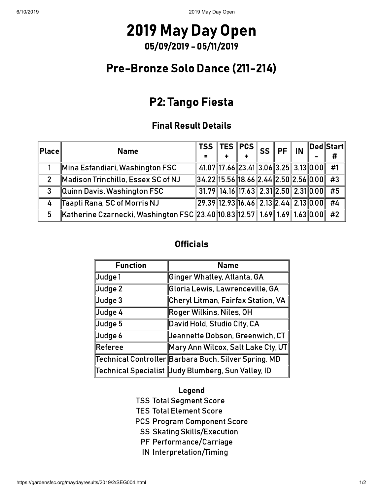### Pre-Bronze Solo Dance (211-214)

### P2: Tango Fiesta

#### Final Result Details

| $\sf{Place}\sf{I}$ | <b>Name</b>                                                               | $\frac{1}{4}$ TSS TES PCS $\parallel$ SS $\parallel$ PF $\parallel$ IN $\parallel$ |  |  |  | $\ $ Ded $\ $ Start $\ $<br># |
|--------------------|---------------------------------------------------------------------------|------------------------------------------------------------------------------------|--|--|--|-------------------------------|
|                    | Mina Esfandiari, Washington FSC                                           | 41.07 17.66 23.41 3.06 3.25 3.13 0.00                                              |  |  |  | #1                            |
|                    | Madison Trinchillo, Essex SC of NJ                                        | $34.22$ 15.56 18.66 2.44 2.50 2.56 0.00                                            |  |  |  | #3                            |
| 3                  | $\ $ Quinn Davis, Washington FSC                                          | $31.79$ 14.16 17.63 2.31 2.50 2.31 0.00                                            |  |  |  | #5                            |
| 4                  | Taapti Rana, SC of Morris NJ                                              | $\ 29.39\ 12.93\ 16.46\ 2.13\ 2.44\ 2.13\ 0.00\ $                                  |  |  |  | #4                            |
| 5                  | Katherine Czarnecki, Washington FSC 23.40 10.83 12.57 1.69 1.69 1.63 0.00 |                                                                                    |  |  |  | #2                            |

#### **Officials**

| <b>Function</b> | <b>Name</b>                                          |
|-----------------|------------------------------------------------------|
| Judge 1         | Ginger Whatley, Atlanta, GA                          |
| Judge 2         | Gloria Lewis, Lawrenceville, GA                      |
| ∥Judge 3        | Cheryl Litman, Fairfax Station, VA                   |
| Judge 4         | Roger Wilkins, Niles, OH                             |
| ∥Judge 5        | David Hold, Studio City, CA                          |
| Judge 6         | Jeannette Dobson, Greenwich, CT                      |
| $\ $ Referee    | Mary Ann Wilcox, Salt Lake Cty, UT                   |
|                 | Technical Controller Barbara Buch, Silver Spring, MD |
|                 | Technical Specialist Judy Blumberg, Sun Valley, ID   |

#### Legend

TSS Total Segment Score

TES Total Element Score

PCS Program Component Score

SS Skating Skills/Execution

- PF Performance/Carriage
- IN Interpretation/Timing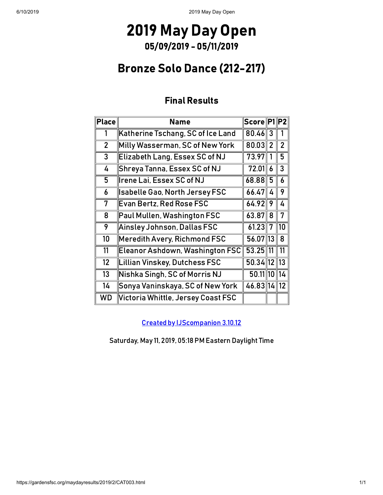### Bronze Solo Dance (212-217)

### Final Results

| Place          | <b>Name</b>                             | Score P1   |                | P2             |
|----------------|-----------------------------------------|------------|----------------|----------------|
| 1              | Katherine Tschang, SC of Ice Land       | 80.46      | 3              | 1              |
| $\overline{2}$ | Milly Wasserman, SC of New York         | 80.03      | $\overline{2}$ | $\overline{2}$ |
| 3              | Elizabeth Lang, Essex SC of NJ          | 73.97      | 1              | 5              |
| 4              | Shreya Tanna, Essex SC of NJ            | 72.01      | 6              | 3              |
| 5              | Irene Lai, Essex SC of NJ               | 68.88      | 5              | 6              |
| 6              | Isabelle Gao, North Jersey FSC          | 66.47      | 4              | 9              |
| 7              | Evan Bertz, Red Rose FSC                | 64.92      | 9              | 4              |
| 8              | Paul Mullen, Washington FSC             | 63.87      | 8              | 7              |
| 9              | $\parallel$ Ainsley Johnson, Dallas FSC | 61.23      | 7              | 10             |
| 10             | Meredith Avery, Richmond FSC            | 56.07 13   |                | 8              |
| 11             | Eleanor Ashdown, Washington FSC         | $53.25$ 11 |                | 11             |
| 12             | Lillian Vinskey, Dutchess FSC           | 50.34 12   |                | 13             |
| 13             | Nishka Singh, SC of Morris NJ           | 50.11 10   |                | 14             |
| 14             | Sonya Vaninskaya, SC of New York        | 46.83 14   |                | 12             |
| <b>WD</b>      | Victoria Whittle, Jersey Coast FSC      |            |                |                |

[Created by IJScompanion](http://www.usfigureskating.org/) 3.10.12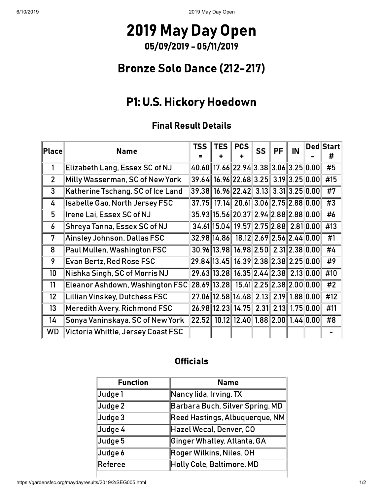### Bronze Solo Dance (212-217)

# P1: U.S. Hickory Hoedown

### Final Result Details

| <b>Place</b>   | <b>Name</b>                                                                   | TSS                                               | <b>TES</b> I | <b>PCS</b>                                          | <b>SS</b> | PF | IN | $\sf \vert \mathsf{Ded} \vert \mathsf{Start} \vert$<br># |
|----------------|-------------------------------------------------------------------------------|---------------------------------------------------|--------------|-----------------------------------------------------|-----------|----|----|----------------------------------------------------------|
|                | Elizabeth Lang, Essex SC of NJ                                                | 40.60 17.66 22.94 3.38 3.06 3.25 0.00             |              |                                                     |           |    |    | #5                                                       |
| $\overline{2}$ | Milly Wasserman, SC of New York                                               | $39.64$ 16.96 22.68 3.25 3.19 3.25 0.00           |              |                                                     |           |    |    | #15                                                      |
| 3              | Katherine Tschang, SC of Ice Land                                             | 39.38   16.96  22.42   3.13   3.31  3.25  0.00    |              |                                                     |           |    |    | #7                                                       |
| 4              | <b>Isabelle Gao, North Jersey FSC</b>                                         | 37.75                                             |              | 17.14 20.61 3.06 2.75 2.88 0.00                     |           |    |    | #3                                                       |
| 5              | <b>Irene Lai, Essex SC of NJ</b>                                              | $35.93$ 15.56 20.37 2.94 2.88 2.88 0.00           |              |                                                     |           |    |    | #6                                                       |
| 6              | Shreya Tanna, Essex SC of NJ                                                  |                                                   |              | 34.61 15.04 19.57 2.75 2.88 2.81 0.00               |           |    |    | #13                                                      |
| 7              | Ainsley Johnson, Dallas FSC                                                   |                                                   |              | $32.98$   14.86   18.12   2.69   2.56   2.44   0.00 |           |    |    | #1                                                       |
| 8              | Paul Mullen, Washington FSC                                                   |                                                   |              | $30.96$   13.98   16.98   2.50   2.31   2.38   0.00 |           |    |    | #4                                                       |
| 9              | <b>Evan Bertz, Red Rose FSC</b>                                               | $29.84$ 13.45 16.39 2.38 2.38 2.25 0.00           |              |                                                     |           |    |    | #9                                                       |
| 10             | Nishka Singh, SC of Morris NJ                                                 |                                                   |              | 29.63 13.28 16.35 2.44 2.38 2.13 0.00               |           |    |    | #10                                                      |
| 11             | Eleanor Ashdown, Washington FSC  28.69  13.28   15.41  2.25  2.38  2.00  0.00 |                                                   |              |                                                     |           |    |    | #2                                                       |
| 12             | Lillian Vinskey, Dutchess FSC                                                 |                                                   |              | 27.06 12.58 14.48 2.13 2.19 1.88 0.00               |           |    |    | #12                                                      |
| 13             | Meredith Avery, Richmond FSC                                                  |                                                   |              | 26.98 12.23 14.75 2.31 2.13 1.75 0.00               |           |    |    | #11                                                      |
| 14             | Sonya Vaninskaya, SC of New York                                              | 22.52   10.12   12.40   1.88   2.00   1.44   0.00 |              |                                                     |           |    |    | #8                                                       |
| WD             | Victoria Whittle, Jersey Coast FSC                                            |                                                   |              |                                                     |           |    |    |                                                          |

### **Officials**

| <b>Function</b> | <b>Name</b>                              |
|-----------------|------------------------------------------|
| Judge 1         | $\parallel$ Nancy lida, Irving, TX       |
| Judge 2         | Barbara Buch, Silver Spring, MD          |
| Judge 3         | $\ $ Reed Hastings, Albuquerque, NM $\ $ |
| Judge 4         | Hazel Wecal, Denver, CO                  |
| Judge 5         | Ginger Whatley, Atlanta, GA              |
| Judge 6         | $\ $ Roger Wilkins, Niles, OH            |
| Referee         | Holly Cole, Baltimore, MD                |
|                 |                                          |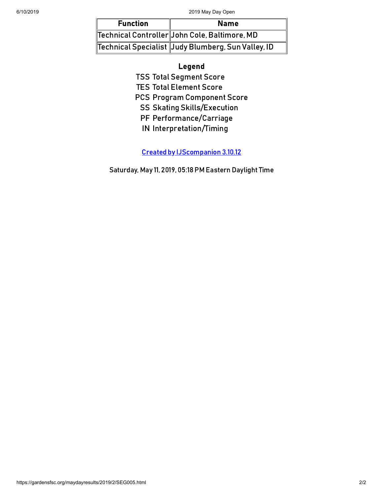| <b>Function</b> | <b>Name</b>                                          |
|-----------------|------------------------------------------------------|
|                 | Technical Controller John Cole, Baltimore, MD        |
|                 | Technical Specialist   Judy Blumberg, Sun Valley, ID |

#### Legend

TSS Total Segment Score

TES Total Element Score

PCS Program Component Score

SS Skating Skills/Execution

PF Performance/Carriage

IN Interpretation/Timing

[Created by IJScompanion](http://www.usfigureskating.org/) 3.10.12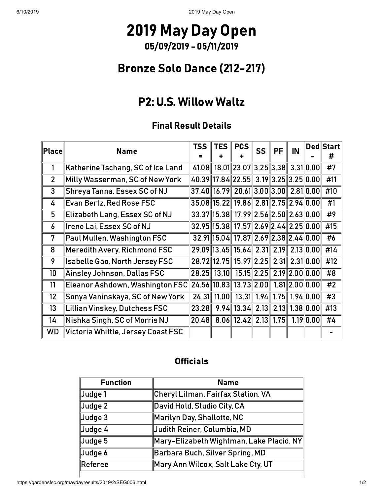### Bronze Solo Dance (212-217)

### P2: U.S. Willow Waltz

### Final Result Details

| Place          | <b>Name</b>                           | TSS                             | <b>TES</b> I | <b>PCS</b>                                                    | <b>SS</b> | PF | IN |                     | $\sf \vert$ Ded $\sf \vert \sf Start \vert$<br># |
|----------------|---------------------------------------|---------------------------------|--------------|---------------------------------------------------------------|-----------|----|----|---------------------|--------------------------------------------------|
|                | Katherine Tschang, SC of Ice Land     |                                 |              | 41.08 18.01 23.07 3.25 3.38 3.31 0.00                         |           |    |    |                     | $\overline{11}$                                  |
| $\overline{2}$ | Milly Wasserman, SC of New York       |                                 |              | 40.39 17.84 22.55 3.19 3.25 3.25 0.00                         |           |    |    |                     | #11                                              |
| 3              | Shreya Tanna, Essex SC of NJ          |                                 |              | $37.40$ 16.79 $20.61$ 3.00 $3.00$ 2.81 0.00                   |           |    |    |                     | #10                                              |
| 4              | <b>Evan Bertz, Red Rose FSC</b>       |                                 |              | $\ 35.08\ 15.22\ $ 19.86 $\ $ 2.81 $\ 2.75\ $ 2.94 $\ 0.00\ $ |           |    |    |                     | #1                                               |
| 5              | Elizabeth Lang, Essex SC of NJ        |                                 |              | $33.37$ 15.38 17.99 2.56 2.50 2.63 0.00                       |           |    |    |                     | #9                                               |
| 6              | Irene Lai, Essex SC of NJ             |                                 |              | $32.95$ 15.38 17.57 2.69 2.44 2.25 0.00                       |           |    |    |                     | #15                                              |
| 7              | Paul Mullen, Washington FSC           |                                 |              | 32.91 15.04 17.87 2.69 2.38 2.44 0.00                         |           |    |    |                     | #6                                               |
| 8              | Meredith Avery, Richmond FSC          |                                 |              | 29.09 13.45 15.64 2.31 2.19 2.13 0.00                         |           |    |    |                     | #14                                              |
| 9              | <b>Isabelle Gao, North Jersey FSC</b> |                                 |              | 28.72 12.75 15.97 2.25 2.31 2.31 0.00                         |           |    |    |                     | #12                                              |
| 10             | Ainsley Johnson, Dallas FSC           | 28.25   13.10                   |              | 15.15 2.25 2.19 2.00 0.00                                     |           |    |    |                     | #8                                               |
| 11             | Eleanor Ashdown, Washington FSC       | $\ 24.56\ 10.83\ 13.73\ 2.00\ $ |              |                                                               |           |    |    | $1.81$   2.00  0.00 | #2                                               |
| 12             | Sonya Vaninskaya, SC of New York      | 24.31                           | 11.00        | 13.31 1.94 1.75 1.94 0.00                                     |           |    |    |                     | #3                                               |
| 13             | Lillian Vinskey, Dutchess FSC         | 23.28                           |              | $9.94$    13.34   2.13   2.13   1.38   0.00                   |           |    |    |                     | #13                                              |
| 14             | Nishka Singh, SC of Morris NJ         | 20.48                           |              | $8.06$    12.42   2.13   1.75                                 |           |    |    | 1.19 0.00           | #4                                               |
| WD             | Victoria Whittle, Jersey Coast FSC    |                                 |              |                                                               |           |    |    |                     |                                                  |

#### **Officials**

| <b>Function</b>          | <b>Name</b>                              |
|--------------------------|------------------------------------------|
| Judge 1                  | Cheryl Litman, Fairfax Station, VA       |
| $\vert$ Judge 2          | David Hold, Studio City, CA              |
| $\vert$ Judge 3          | $\mathsf{\ }$ Marilyn Day, Shallotte, NC |
| $\mathbf{\Vert}$ Judge 4 | Judith Reiner, Columbia, MD              |
| Judge 5                  | Mary-Elizabeth Wightman, Lake Placid, NY |
| Judge 6                  | Barbara Buch, Silver Spring, MD          |
| <b>Referee</b>           | Mary Ann Wilcox, Salt Lake Cty, UT       |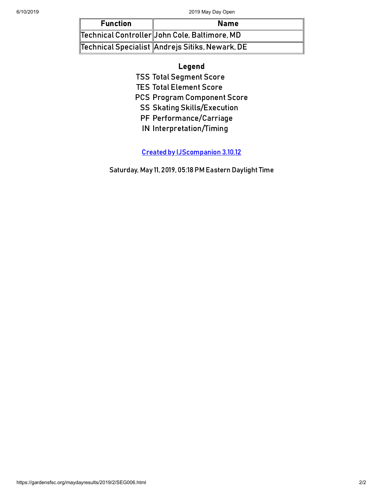| <b>Function</b> | <b>Name</b>                                          |
|-----------------|------------------------------------------------------|
|                 | Technical Controller  John Cole, Baltimore, MD       |
|                 | Technical Specialist $\ $ Andrejs Sitiks, Newark, DE |

#### Legend

TSS Total Segment Score

TES Total Element Score

PCS Program Component Score

SS Skating Skills/Execution

PF Performance/Carriage

IN Interpretation/Timing

[Created by IJScompanion](http://www.usfigureskating.org/) 3.10.12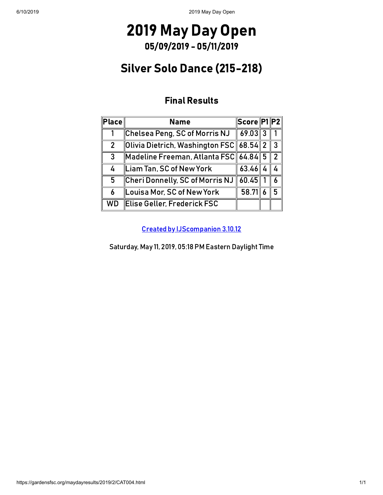### Silver Solo Dance (215-218)

### Final Results

| $ \mathsf{Place} $ | <b>Name</b>                                          | Score P1 P2 |                |
|--------------------|------------------------------------------------------|-------------|----------------|
|                    | Chelsea Peng, SC of Morris NJ                        | $69.03$ 3   |                |
| $\overline{2}$     | Olivia Dietrich, Washington FSC    68.54    2        |             | $\overline{3}$ |
| 3                  | $\ $ Madeline Freeman, Atlanta FSC $\ $ 64.84 $\ $ 5 |             | 2 <sup>1</sup> |
| 4                  | Liam Tan, SC of New York                             | $63.46$ 4   |                |
| 5                  | Cheri Donnelly, SC of Morris NJ                      | 60.45       |                |
| 6                  | Louisa Mor, SC of New York                           | 58.71       | г,             |
| <b>WD</b>          | Elise Geller, Frederick FSC                          |             |                |

[Created by IJScompanion](http://www.usfigureskating.org/) 3.10.12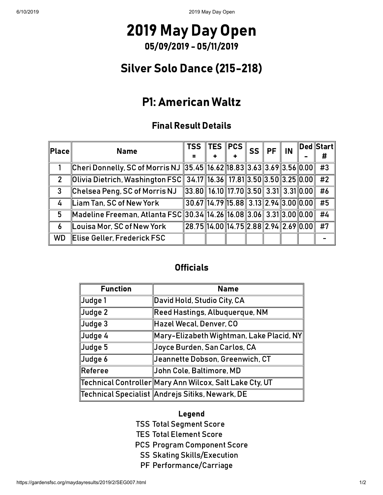## 2019 May Day Open 05/09/2019 - 05/11/2019

## Silver Solo Dance (215-218)

### P1: American Waltz

### Final Result Details

| $\ $ Place $\ $ | <b>Name</b>                                                           | <b>TSS</b>                              | $\ $ TES $\ $ PCS $\ $ | <b>SS</b> | PF | IN | $\ $ Ded $\ $ Start $\ $ |
|-----------------|-----------------------------------------------------------------------|-----------------------------------------|------------------------|-----------|----|----|--------------------------|
|                 |                                                                       |                                         |                        |           |    |    | #                        |
|                 | Cheri Donnelly, SC of Morris NJ 35.45 16.62 18.83 3.63 3.69 3.56 0.00 |                                         |                        |           |    |    | #3                       |
| $\mathcal{P}$   | Olivia Dietrich, Washington FSC 34.17 16.36 17.81 3.50 3.50 3.25 0.00 |                                         |                        |           |    |    | $\overline{1}$           |
| 3               | Chelsea Peng, SC of Morris NJ                                         | $33.80$ 16.10 17.70 3.50 3.31 3.31 0.00 |                        |           |    |    | #6                       |
| 4               | Liam Tan, SC of New York                                              | $30.67$ 14.79 15.88 3.13 2.94 3.00 0.00 |                        |           |    |    | #5                       |
| 5               | Madeline Freeman, Atlanta FSC 30.34 14.26 16.08 3.06 3.31 3.00 0.00   |                                         |                        |           |    |    | #4                       |
| 6               | Louisa Mor, SC of New York                                            | $28.75$ 14.00 14.75 2.88 2.94 2.69 0.00 |                        |           |    |    | #7                       |
| <b>WD</b>       | Elise Geller, Frederick FSC                                           |                                         |                        |           |    |    |                          |

### **Officials**

| <b>Function</b>       | <b>Name</b>                                              |
|-----------------------|----------------------------------------------------------|
| ∥Judge 1              | David Hold, Studio City, CA                              |
| $\mathsf{\ }$ Judge 2 | Reed Hastings, Albuquerque, NM                           |
| ∥Judge 3              | Hazel Wecal, Denver, CO                                  |
| ∥Judge 4              | Mary-Elizabeth Wightman, Lake Placid, NY                 |
| Judge 5               | Joyce Burden, San Carlos, CA                             |
| Judge 6               | Jeannette Dobson, Greenwich, CT                          |
| $\ $ Referee          | John Cole, Baltimore, MD                                 |
|                       | Technical Controller  Mary Ann Wilcox, Salt Lake Cty, UT |
|                       | Technical Specialist Andrejs Sitiks, Newark, DE          |

#### Legend

- TSS Total Segment Score
- TES Total Element Score
- PCS Program Component Score
	- SS Skating Skills/Execution
	- PF Performance/Carriage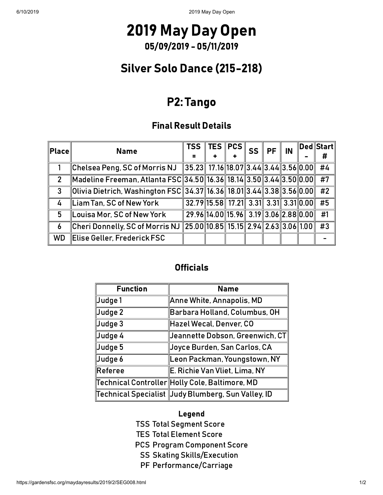### Silver Solo Dance (215-218)

### P2: Tango

#### Final Result Details

| $\ $ Place $\ $ | <b>Name</b>                                                           | <b>TSS</b>                                        | TES $\parallel$                       | <b>PCS</b> | <b>SS</b> | PF | IN | ∥Ded∥Start∥<br># |
|-----------------|-----------------------------------------------------------------------|---------------------------------------------------|---------------------------------------|------------|-----------|----|----|------------------|
|                 | Chelsea Peng, SC of Morris NJ                                         | $\ 35.23\ 17.16\ 18.07\ 3.44\ 3.44\ 3.56\ 0.00\ $ |                                       |            |           |    |    | #4               |
| 2               | Madeline Freeman, Atlanta FSC 34.50 16.36 18.14 3.50 3.44 3.50 0.00   |                                                   |                                       |            |           |    |    | #7               |
| $\mathbf{3}$    | Olivia Dietrich, Washington FSC 34.37 16.36 18.01 3.44 3.38 3.56 0.00 |                                                   |                                       |            |           |    |    | #2               |
| $\overline{4}$  | Liam Tan, SC of New York                                              | 32.79 15.58 17.21 3.31 3.31 3.31 0.00             |                                       |            |           |    |    | #5               |
| 5               | Louisa Mor, SC of New York                                            |                                                   | 29.96 14.00 15.96 3.19 3.06 2.88 0.00 |            |           |    |    | #1               |
| 6               | Cheri Donnelly, SC of Morris NJ                                       | $\ 25.00\ $ 10.85 15.15 2.94 2.63 3.06 1.00       |                                       |            |           |    |    | #3               |
| <b>WD</b>       | Elise Geller, Frederick FSC                                           |                                                   |                                       |            |           |    |    |                  |

#### **Officials**

| <b>Function</b> | <b>Name</b>                                        |
|-----------------|----------------------------------------------------|
| ∥Judge 1        | Anne White, Annapolis, MD                          |
| Judge 2         | Barbara Holland, Columbus, OH                      |
| ∥Judge 3        | Hazel Wecal, Denver, CO                            |
| ∥Judge 4        | $\mid$ Jeannette Dobson, Greenwich, CT $\mid$      |
| ∥Judge 5        | Joyce Burden, San Carlos, CA                       |
| Judge 6         | Leon Packman, Youngstown, NY                       |
| Referee         | E. Richie Van Vliet, Lima, NY                      |
|                 | ∏echnical Controller  Holly Cole, Baltimore, MD    |
|                 | Technical Specialist Judy Blumberg, Sun Valley, ID |

#### Legend

- TSS Total Segment Score
- TES Total Element Score
- PCS Program Component Score
	- SS Skating Skills/Execution
	- PF Performance/Carriage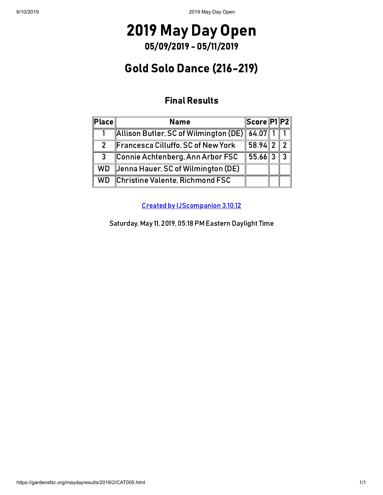### Gold Solo Dance (216-219)

### Final Results

| $\ $ Place $\ $ | <b>Name</b>                                   | Score P1 P2 |              |
|-----------------|-----------------------------------------------|-------------|--------------|
|                 | Allison Butler, SC of Wilmington (DE)   64.07 |             |              |
| $\overline{2}$  | Francesca Cilluffo, SC of New York            | $58.94$  2  |              |
| 3               | Connie Achtenberg, Ann Arbor FSC              | $55.66$ 3   | $\mathbf{R}$ |
| <b>WD</b>       | Jenna Hauer, SC of Wilmington (DE)            |             |              |
| WD              | Christine Valente, Richmond FSC               |             |              |

[Created by IJScompanion](http://www.usfigureskating.org/) 3.10.12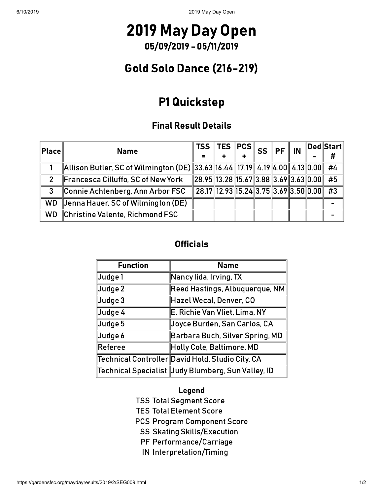## 2019 May Day Open 05/09/2019 - 05/11/2019

### Gold Solo Dance (216-219)

### P1 Quickstep

### Final Result Details

| $\ $ Place $\ $ | <b>Name</b>                                                                 | $\frac{1}{4}$ TSS TES PCS $\left\  \text{SCS} \right\ $ SS $\left\  \text{PF} \right\ ^2$ |  |  | IN | ∥Ded∥Start∥<br># |
|-----------------|-----------------------------------------------------------------------------|-------------------------------------------------------------------------------------------|--|--|----|------------------|
|                 |                                                                             |                                                                                           |  |  |    |                  |
|                 | Allison Butler, SC of Wilmington (DE) 33.63 16.44 17.19 4.19 4.00 4.13 0.00 |                                                                                           |  |  |    | #4               |
| $\mathcal{P}$   | Francesca Cilluffo, SC of New York                                          | $\ 28.95\ 13.28\ 15.67\ 3.88\ 3.69\ 3.63\ 0.00\ $                                         |  |  |    | #5               |
| 3               | Connie Achtenberg, Ann Arbor FSC                                            | 28.17 12.93 15.24 3.75 3.69 3.50 0.00                                                     |  |  |    | #3               |
| <b>WD</b>       | Jenna Hauer, SC of Wilmington (DE)                                          |                                                                                           |  |  |    |                  |
| <b>WD</b>       | Christine Valente, Richmond FSC                                             |                                                                                           |  |  |    |                  |

### **Officials**

| <b>Function</b> | <b>Name</b>                                                |
|-----------------|------------------------------------------------------------|
| Judge 1         | Nancy lida, Irving, TX                                     |
| Judge 2         | Reed Hastings, Albuquerque, NM                             |
| Judge 3         | Hazel Wecal, Denver, CO                                    |
| Judge 4         | E. Richie Van Vliet, Lima, NY                              |
| Judge 5         | Joyce Burden, San Carlos, CA                               |
| Judge 6         | Barbara Buch, Silver Spring, MD                            |
| Referee         | Holly Cole, Baltimore, MD                                  |
|                 | $\ $ Technical Controller $\ $ David Hold, Studio City, CA |
|                 | Technical Specialist   Judy Blumberg, Sun Valley, ID       |

#### Legend

TSS Total Segment Score

TES Total Element Score

PCS Program Component Score

SS Skating Skills/Execution

- PF Performance/Carriage
- IN Interpretation/Timing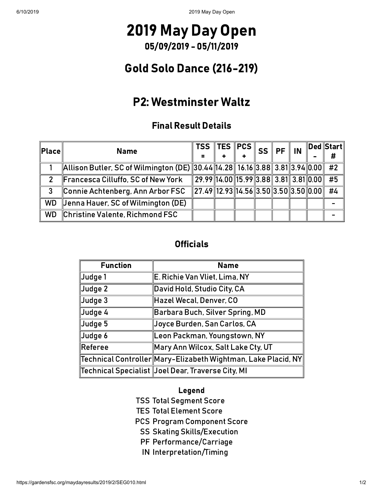## 2019 May Day Open 05/09/2019 - 05/11/2019

### Gold Solo Dance (216-219)

### P2: Westminster Waltz

### Final Result Details

| $\ $ Place $\ $ | <b>Name</b>                                                                 | $_{\shortparallel}$ TSS TES $\Vert$ PCS $\Vert$ SS $\Vert$ PF $\Vert$ |  |  | IN | $\ $ Ded $\ $ Start $\ $<br># |
|-----------------|-----------------------------------------------------------------------------|-----------------------------------------------------------------------|--|--|----|-------------------------------|
|                 | Allison Butler, SC of Wilmington (DE) 30.44 14.28 16.16 3.88 3.81 3.94 0.00 |                                                                       |  |  |    | #2                            |
|                 | Francesca Cilluffo, SC of New York                                          | $29.99$ 14.00 15.99 3.88 3.81 3.81 0.00                               |  |  |    | #5                            |
| 3               | Connie Achtenberg, Ann Arbor FSC                                            | $27.49$ 12.93 14.56 3.50 3.50 3.50 0.00                               |  |  |    | #4                            |
| <b>WD</b>       | Jenna Hauer, SC of Wilmington (DE)                                          |                                                                       |  |  |    |                               |
| <b>WD</b>       | Christine Valente, Richmond FSC                                             |                                                                       |  |  |    |                               |

#### **Officials**

| <b>Function</b>     | <b>Name</b>                                                                  |
|---------------------|------------------------------------------------------------------------------|
| Judge 1             | E. Richie Van Vliet, Lima, NY                                                |
| $\vert$ Judge 2     | David Hold, Studio City, CA                                                  |
| $\vert$ Judge 3     | Hazel Wecal, Denver, CO                                                      |
| Judge 4             | Barbara Buch, Silver Spring, MD                                              |
| $\mathsf{J}$ udge 5 | Joyce Burden, San Carlos, CA                                                 |
| Judge 6             | Leon Packman, Youngstown, NY                                                 |
| $\ $ Referee        | Mary Ann Wilcox, Salt Lake Cty, UT                                           |
|                     | $\ $ Technical Controller $\ $ Mary-Elizabeth Wightman, Lake Placid, NY $\ $ |
|                     | Technical Specialist  Joel Dear, Traverse City, MI                           |

#### Legend

TSS Total Segment Score

TES Total Element Score

PCS Program Component Score

- SS Skating Skills/Execution
- PF Performance/Carriage
- IN Interpretation/Timing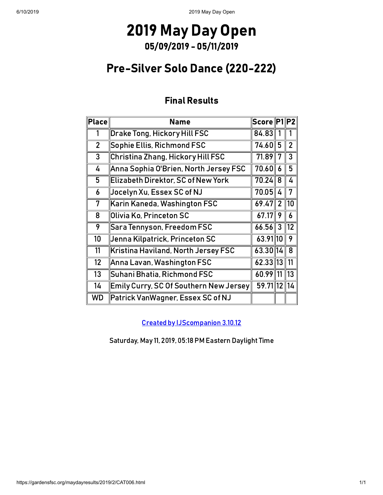### Pre-Silver Solo Dance (220-222)

### Final Results

| Place          | <b>Name</b>                                   | Score P1 P2  |                |                |
|----------------|-----------------------------------------------|--------------|----------------|----------------|
| 1              | Drake Tong, Hickory Hill FSC                  | 84.83        |                |                |
| $\overline{2}$ | Sophie Ellis, Richmond FSC                    | 74.60∥       | 5              | $\overline{2}$ |
| $\mathbf{3}$   | Christina Zhang, Hickory Hill FSC             | 71.89        | 7              | 3              |
| 4              | Anna Sophia O'Brien, North Jersey FSC         | 70.60        | 6              | 5              |
| 5              | <b>Elizabeth Direktor, SC of New York</b>     | 70.24        | 8              | 4              |
| 6              | Jocelyn Xu, Essex SC of NJ                    | 70.05        | 4              | 7              |
| 7              | $\,$ Karin Kaneda, Washington FSC             | 69.47        | $\overline{2}$ | 10             |
| 8              | Olivia Ko, Princeton SC                       | 67.17        | 9              | 6              |
| 9              | Sara Tennyson, Freedom FSC                    | $66.56$ 3    |                | 12             |
| 10             | Jenna Kilpatrick, Princeton SC                | 63.91 10     |                | 9              |
| 11             | Kristina Haviland, North Jersey FSC           | 63.30 14     |                | 8              |
| 12             | Anna Lavan, Washington FSC                    | 62.33 13     |                | 11             |
| 13             | Suhani Bhatia, Richmond FSC                   | $60.99$   11 |                | 13             |
| 14             | <b>Emily Curry, SC Of Southern New Jersey</b> | 59.7112      |                | 14             |
| WD             | Patrick VanWagner, Essex SC of NJ             |              |                |                |

[Created by IJScompanion](http://www.usfigureskating.org/) 3.10.12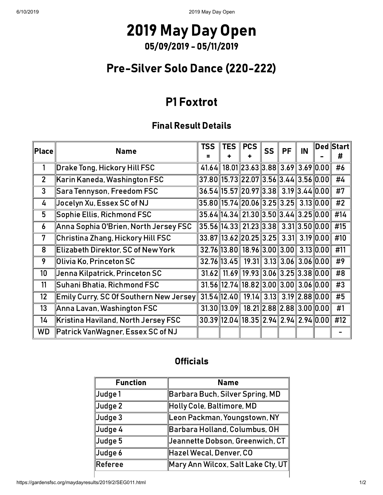### Pre-Silver Solo Dance (220-222)

### P1 Foxtrot

### Final Result Details

| $ \mathsf{Place} $ | <b>Name</b>                                   | <b>TSS</b>                                          | <b>TES</b> | <b>PCS</b>                                          | <b>SS</b> | <b>PF</b> | IN | Ded Start<br># |
|--------------------|-----------------------------------------------|-----------------------------------------------------|------------|-----------------------------------------------------|-----------|-----------|----|----------------|
| 1                  | Drake Tong, Hickory Hill FSC                  |                                                     |            | $41.64$ 18.01 23.63 3.88 3.69 3.69 0.00             |           |           |    | #6             |
| $\overline{2}$     | $\,$ Karin Kaneda, Washington FSC             | $37.80$ 15.73 22.07 3.56 3.44 3.56 0.00             |            |                                                     |           |           |    | #4             |
| 3                  | $\,$ Sara Tennyson, Freedom FSC               | $36.54$   15.57  20.97  3.38   3.19  3.44  0.00     |            |                                                     |           |           |    | #7             |
| 4                  | Jocelyn Xu, Essex SC of NJ                    | 35.80  15.74  20.06  3.25  3.25   3.13  0.00        |            |                                                     |           |           |    | #2             |
| 5                  | $\bm{\mathsf{Sophie}}$ Ellis, Richmond FSC    | $35.64$ $14.34$ $21.30$ $3.50$ $3.44$ $3.25$ $0.00$ |            |                                                     |           |           |    | #14            |
| 6                  | Anna Sophia O'Brien, North Jersey FSC         | $35.56$ 14.33 21.23 3.38 3.31 3.50 0.00             |            |                                                     |           |           |    | #15            |
| 7                  | Christina Zhang, Hickory Hill FSC             |                                                     |            | $33.87$   13.62  20.25  3.25  3.31  3.19  0.00      |           |           |    | #10            |
| 8                  | Elizabeth Direktor, SC of New York            |                                                     |            | 32.76 13.80 18.96 3.00 3.00 3.13 0.00               |           |           |    | #11            |
| 9                  | $\,$ Olivia Ko, Princeton SC                  |                                                     |            | $32.76$   13.45   19.31   3.13   3.06   3.06   0.00 |           |           |    | #9             |
| 10 <sup>1</sup>    | Jenna Kilpatrick, Princeton SC                |                                                     |            | $31.62$ 11.69 19.93 3.06 3.25 3.38 0.00             |           |           |    | #8             |
| 11                 | Suhani Bhatia, Richmond FSC                   |                                                     |            | $31.56$   12.74  18.82  3.00  3.00  3.06  0.00      |           |           |    | #3             |
| 12                 | <b>Emily Curry, SC Of Southern New Jersey</b> |                                                     |            | $31.54$   12.40   19.14   3.13   3.19   2.88   0.00 |           |           |    | #5             |
| 13                 | $\parallel$ Anna Lavan, Washington FSC        |                                                     |            | $31.30$   13.09   18.21  2.88  2.88  3.00  0.00     |           |           |    | #1             |
| 14                 | Kristina Haviland, North Jersey FSC           |                                                     |            | $30.39$   12.04  18.35  2.94  2.94  2.94  0.00      |           |           |    | #12            |
| <b>WD</b>          | Patrick VanWagner, Essex SC of NJ             |                                                     |            |                                                     |           |           |    |                |

#### **Officials**

| <b>Function</b> | <b>Name</b>                                                           |
|-----------------|-----------------------------------------------------------------------|
| Judge 1         | Barbara Buch, Silver Spring, MD                                       |
| Judge 2         | Holly Cole, Baltimore, MD                                             |
| Judge 3         | Leon Packman, Youngstown, NY                                          |
| Judge 4         | Barbara Holland, Columbus, OH                                         |
| Judge 5         | Jeannette Dobson, Greenwich, CT                                       |
| Judge 6         | Hazel Wecal, Denver, CO                                               |
| Referee         | $\mathbin\mathsf{Mary}$ Ann Wilcox, Salt Lake Cty, UT $\mathbin\Vert$ |

 $\overline{\phantom{a}}$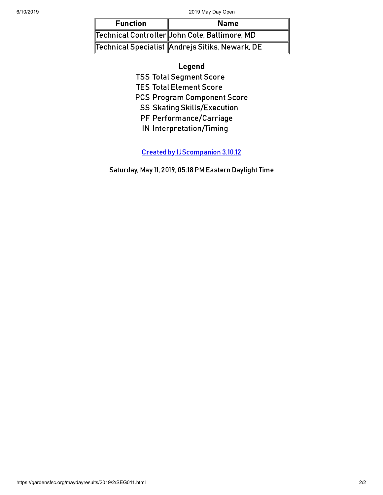| <b>Function</b> | <b>Name</b>                                     |
|-----------------|-------------------------------------------------|
|                 | Technical Controller John Cole, Baltimore, MD   |
|                 | Technical Specialist Andrejs Sitiks, Newark, DE |

#### Legend

TSS Total Segment Score

TES Total Element Score

PCS Program Component Score

SS Skating Skills/Execution

PF Performance/Carriage

IN Interpretation/Timing

[Created by IJScompanion](http://www.usfigureskating.org/) 3.10.12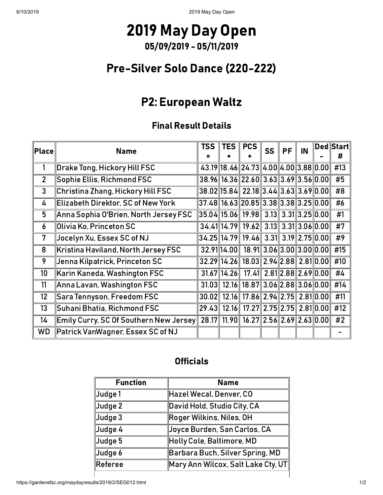### Pre-Silver Solo Dance (220-222)

### P2: European Waltz

### Final Result Details

| $ $ Place $ $  | <b>Name</b>                                                       | <b>TSS</b> | <b>TES</b>      | <b>PCS</b>                                        | <b>SS</b> | <b>PF</b> | IN | $ \mathsf{Ded} \mathsf{Start} $<br># |
|----------------|-------------------------------------------------------------------|------------|-----------------|---------------------------------------------------|-----------|-----------|----|--------------------------------------|
| 1              | Drake Tong, Hickory Hill FSC                                      |            |                 | 43.19 18.46 24.73 4.00 4.00 3.88 0.00             |           |           |    | #13                                  |
| $\overline{2}$ | Sophie Ellis, Richmond FSC                                        |            |                 | 38.96 16.36 22.60 3.63 3.69 3.56 0.00             |           |           |    | #5                                   |
| $\mathbf{3}$   | Christina Zhang, Hickory Hill FSC                                 |            |                 | 38.02 15.84 22.18 3.44 3.63 3.69 0.00             |           |           |    | #8                                   |
| 4              | Elizabeth Direktor, SC of New York                                |            |                 | $37.48$ 16.63 20.85 3.38 3.38 3.25 0.00           |           |           |    | #6                                   |
| 5              | Anna Sophia O'Brien, North Jersey FSC                             |            |                 | $35.04$   15.06   19.98   3.13   3.31  3.25  0.00 |           |           |    | #1                                   |
| 6              | Olivia Ko, Princeton SC                                           |            |                 | 34.41 14.79 19.62 3.13 3.31 3.06 0.00             |           |           |    | #7                                   |
| 7              | Jocelyn Xu, Essex SC of NJ                                        |            |                 | 34.25 14.79 19.46 3.31 3.19 2.75 0.00             |           |           |    | #9                                   |
| 8              | Kristina Haviland, North Jersey FSC                               |            | 32.91 14.00     | 18.91 3.06 3.00 3.00 0.00                         |           |           |    | #15                                  |
| 9              | Jenna Kilpatrick, Princeton SC                                    |            |                 | 32.29 14.26 18.03 2.94 2.88 2.81 0.00             |           |           |    | #10                                  |
| 10             | Karin Kaneda, Washington FSC                                      |            | $31.67$   14.26 | $17.41$   2.81  2.88  2.69  0.00                  |           |           |    | #4                                   |
| 11             | Anna Lavan, Washington FSC                                        | 31.03      |                 | 12.16 18.87 3.06 2.88 3.06 0.00                   |           |           |    | #14                                  |
| 12             | <b>Sara Tennyson, Freedom FSC</b>                                 | 30.02      |                 | 12.16 17.86 2.94 2.75 2.81 0.00                   |           |           |    | #11                                  |
| 13             | Suhani Bhatia, Richmond FSC                                       | 29.43      |                 | 12.16 17.27 2.75 2.75 2.81 0.00                   |           |           |    | #12                                  |
| 14             | $\mathsf{Emly}$ Curry, SC Of Southern New Jersey $\mathsf{\Vert}$ |            |                 | 28.17 11.90 16.27 2.56 2.69 2.63 0.00             |           |           |    | #2                                   |
| WD             | Patrick VanWagner, Essex SC of NJ                                 |            |                 |                                                   |           |           |    |                                      |

### **Officials**

| <b>Function</b> | <b>Name</b>                                  |
|-----------------|----------------------------------------------|
| Judge 1         | Hazel Wecal, Denver, CO                      |
| Judge 2         | David Hold, Studio City, CA                  |
| Judge 3         | Roger Wilkins, Niles, OH                     |
| Judge 4         | Joyce Burden, San Carlos, CA                 |
| Judge 5         | Holly Cole, Baltimore, MD                    |
| Judge 6         | Barbara Buch, Silver Spring, MD              |
| Referee         | $\ $ Mary Ann Wilcox, Salt Lake Cty, UT $\ $ |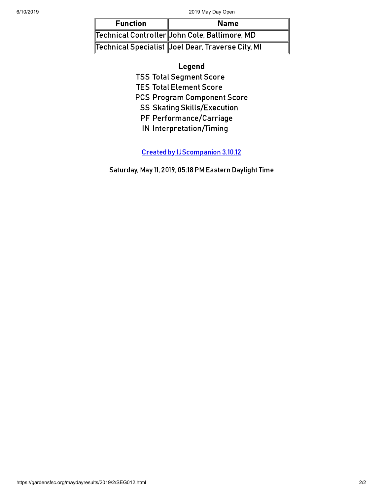| <b>Function</b> | <b>Name</b>                                       |
|-----------------|---------------------------------------------------|
|                 | Technical Controller John Cole, Baltimore, MD     |
|                 | Technical Specialist Joel Dear, Traverse City, MI |

#### Legend

TSS Total Segment Score

TES Total Element Score

PCS Program Component Score

SS Skating Skills/Execution

PF Performance/Carriage

IN Interpretation/Timing

[Created by IJScompanion](http://www.usfigureskating.org/) 3.10.12